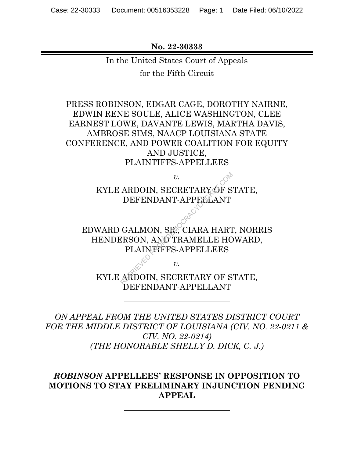**No. 22-30333** 

In the United States Court of Appeals

for the Fifth Circuit

PRESS ROBINSON, EDGAR CAGE, DOROTHY NAIRNE, EDWIN RENE SOULE, ALICE WASHINGTON, CLEE EARNEST LOWE, DAVANTE LEWIS, MARTHA DAVIS, AMBROSE SIMS, NAACP LOUISIANA STATE CONFERENCE, AND POWER COALITION FOR EQUITY AND JUSTICE, PLAINTIFFS-APPELLEES

> KYLE ARDOIN, SECRETARY OF STATE, DEFENDANT-APPELLANT

*v.* 

EDWARD GALMON, SR., CIARA HART, NORRIS HENDERSON, AND TRAMELLE HOWARD, PLAINTIFFS-APPELLEES  $v.$ <br>
ARDOIN, SECRETARY OF S<br>
DEFENDANT-APPELLANT<br>
GALMON, SR., CIARA HART<br>
ERSON, AND TRAMELLE HO<br>
PLAINTFFS-APPELLEES<br>  $v.$ <br>
ARDOIN, SECRETARY OF S

*v.* 

KYLE ARDOIN, SECRETARY OF STATE, DEFENDANT-APPELLANT

*ON APPEAL FROM THE UNITED STATES DISTRICT COURT FOR THE MIDDLE DISTRICT OF LOUISIANA (CIV. NO. 22-0211 & CIV. NO. 22-0214) (THE HONORABLE SHELLY D. DICK, C. J.)* 

*ROBINSON* **APPELLEES' RESPONSE IN OPPOSITION TO MOTIONS TO STAY PRELIMINARY INJUNCTION PENDING APPEAL**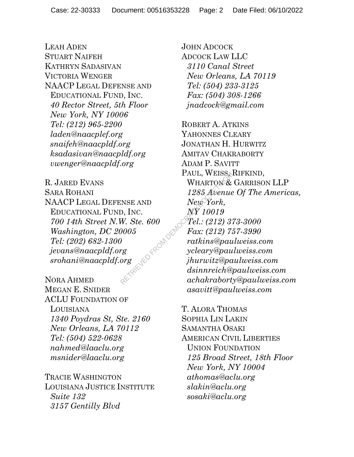LEAH ADEN STUART NAIFEH KATHRYN SADASIVAN VICTORIA WENGER NAACP LEGAL DEFENSE AND EDUCATIONAL FUND, INC. *40 Rector Street, 5th Floor New York, NY 10006 Tel: (212) 965-2200 laden@naacplef.org snaifeh@naacpldf.org ksadasivan@naacpldf.org vwenger@naacpldf.org* 

R. JARED EVANS SARA ROHANI NAACP LEGAL DEFENSE AND EDUCATIONAL FUND, INC. *700 14th Street N.W. Ste. 600 Washington, DC 20005 Tel: (202) 682-1300 jevans@naacpldf.org srohani@naacpldf.org* 

NORA AHMED MEGAN E. SNIDER ACLU FOUNDATION OF LOUISIANA *1340 Poydras St, Ste. 2160 New Orleans, LA 70112 Tel: (504) 522-0628 nahmed@laaclu.org msnider@laaclu.org* 

TRACIE WASHINGTON LOUISIANA JUSTICE INSTITUTE *Suite 132 3157 Gentilly Blvd* 

JOHN ADCOCK ADCOCK LAW LLC *3110 Canal Street New Orleans, LA 70119 Tel: (504) 233-3125 Fax: (504) 308-1266 jnadcock@gmail.com* 

ROBERT A. ATKINS YAHONNES CLEARY JONATHAN H. HURWITZ AMITAV CHAKRABORTY ADAM P. SAVITT PAUL, WEISS, RIFKIND, WHARTON & GARRISON LLP *1285 Avenue Of The Americas, New York, NY 10019 Tel.: (212) 373-3000 Fax: (212) 757-3990 ratkins@paulweiss.com ycleary@paulweiss.com jhurwitz@paulweiss.com dsinnreich@paulweiss.com achakraborty@paulweiss.com asavitt@paulweiss.com*   $\begin{array}{ll} \text{PAUL, WEISS}, \ \text{WHARTON} \& \text{1285} \ \text{R\&PAL, WEISS}, \ \text{NHARTON} \& \text{1285} \ \text{R\&POR}, \ \text{D, INC.} \ & \text{NP} \ \text{POL: (212) 3'}; \ \text{POOS} & \text{Fax: (212) 7;} \ \text{ratkins@pau} \ & \text{Nekins@pau} \ & \text{Nekins@pau} \ & \text{Nekins@pau} \ & \text{Nekins@pau} \ \text{Nekins@pau} \ & \text{Nekins@pau} \ \text{Nek$ 

> T. ALORA THOMAS SOPHIA LIN LAKIN SAMANTHA OSAKI AMERICAN CIVIL LIBERTIES UNION FOUNDATION *125 Broad Street, 18th Floor New York, NY 10004 athomas@aclu.org slakin@aclu.org sosaki@aclu.org*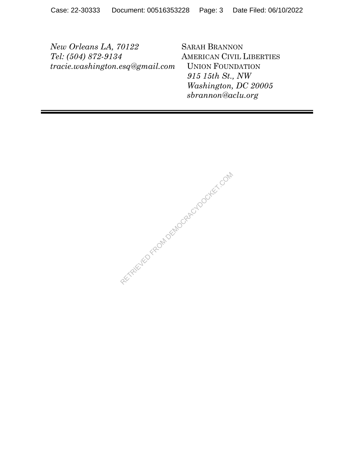*New Orleans LA, 70122 Tel: (504) 872-9134 tracie.washington.esq@gmail.com*  SARAH BRANNON AMERICAN CIVIL LIBERTIES UNION FOUNDATION *915 15th St., NW Washington, DC 20005 sbrannon@aclu.org* 

RECTAINED FROM DEMOCRACY DOCKET.COM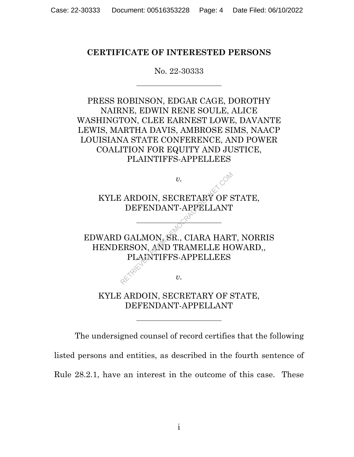## **CERTIFICATE OF INTERESTED PERSONS**

#### No. 22-30333

PRESS ROBINSON, EDGAR CAGE, DOROTHY NAIRNE, EDWIN RENE SOULE, ALICE WASHINGTON, CLEE EARNEST LOWE, DAVANTE LEWIS, MARTHA DAVIS, AMBROSE SIMS, NAACP LOUISIANA STATE CONFERENCE, AND POWER COALITION FOR EQUITY AND JUSTICE, PLAINTIFFS-APPELLEES



KYLE ARDOIN, SECRETARY OF STATE, DEFENDANT-APPELLANT

The undersigned counsel of record certifies that the following listed persons and entities, as described in the fourth sentence of Rule 28.2.1, have an interest in the outcome of this case. These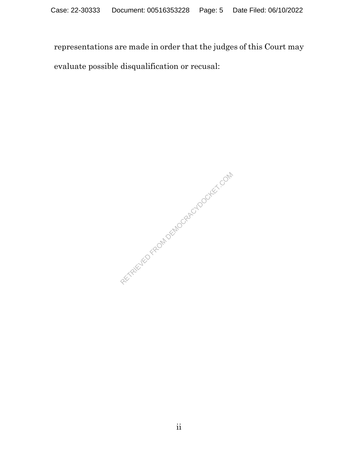representations are made in order that the judges of this Court may evaluate possible disqualification or recusal:

RETRIEVED FROM DEMOCRACYDOCKET.COM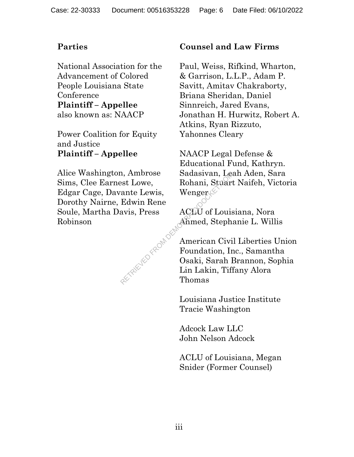National Association for the Advancement of Colored People Louisiana State **Conference Plaintiff – Appellee** also known as: NAACP

Power Coalition for Equity and Justice **Plaintiff – Appellee**

Alice Washington, Ambrose Sims, Clee Earnest Lowe, Edgar Cage, Davante Lewis, Dorothy Nairne, Edwin Rene Soule, Martha Davis, Press Robinson RETRIEVED FROM DES

# **Parties Counsel and Law Firms**

Paul, Weiss, Rifkind, Wharton, & Garrison, L.L.P., Adam P. Savitt, Amitav Chakraborty, Briana Sheridan, Daniel Sinnreich, Jared Evans, Jonathan H. Hurwitz, Robert A. Atkins, Ryan Rizzuto, Yahonnes Cleary

NAACP Legal Defense & Educational Fund, Kathryn. Sadasivan, Leah Aden, Sara Rohani, Stuart Naifeh, Victoria Wenger $\ll$ 

ACLU of Louisiana, Nora Ahmed, Stephanie L. Willis

American Civil Liberties Union Foundation, Inc., Samantha Osaki, Sarah Brannon, Sophia Lin Lakin, Tiffany Alora Thomas

Louisiana Justice Institute Tracie Washington

Adcock Law LLC John Nelson Adcock

ACLU of Louisiana, Megan Snider (Former Counsel)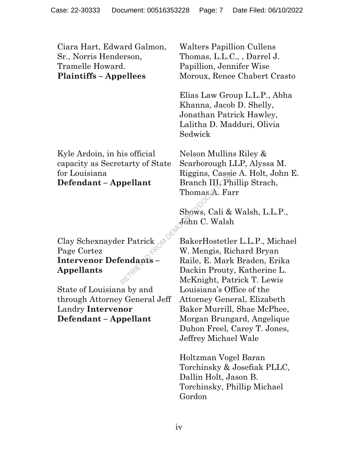Ciara Hart, Edward Galmon, Sr., Norris Henderson, Tramelle Howard. **Plaintiffs – Appellees** 

Kyle Ardoin, in his official capacity as Secretarty of State for Louisiana **Defendant – Appellant** 

Clay Schexnayder Patrick Page Cortez **Intervenor Defendants – Appellants** 

State of Louisiana by and through Attorney General Jeff Landry **Intervenor Defendant – Appellant** 

Walters Papillion Cullens Thomas, L.L.C., , Darrel J. Papillion, Jennifer Wise Moroux, Renee Chabert Crasto

Elias Law Group L.L.P., Abha Khanna, Jacob D. Shelly, Jonathan Patrick Hawley, Lalitha D. Madduri, Olivia Sedwick

Nelson Mullins Riley & Scarborough LLP, Alyssa M. Riggins, Cassie A. Holt, John E. Branch III, Phillip Strach, Thomas A. Farr

Shows, Cali & Walsh, L.L.P., John C. Walsh

BakerHostetler L.L.P., Michael W. Mengis, Richard Bryan Raile, E. Mark Braden, Erika Dackin Prouty, Katherine L. McKnight, Patrick T. Lewis Louisiana's Office of the Attorney General, Elizabeth Baker Murrill, Shae McPhee, Morgan Brungard, Angelique Duhon Freel, Carey T. Jones, Jeffrey Michael Wale REGINS, Casset<br>
Prellant Branch III, Ph<br>
Thomas A. Fan<br>
Shows, Cali &<br>
Shows, Cali &<br>
Com C. Walsh<br>
Predants – Raile, E. Mark<br>
Dackin Prouty<br>
McKnight, Pat

> Holtzman Vogel Baran Torchinsky & Josefiak PLLC, Dallin Holt, Jason B. Torchinsky, Phillip Michael Gordon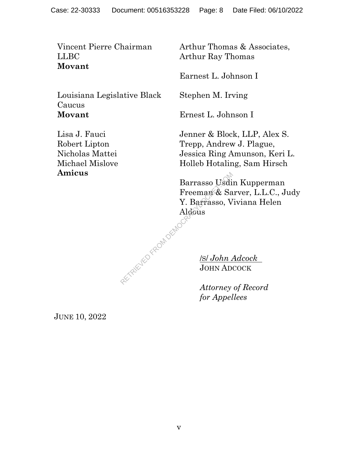Vincent Pierre Chairman LLBC **Movant** 

Louisiana Legislative Black Caucus **Movant** 

Lisa J. Fauci Robert Lipton Nicholas Mattei Michael Mislove **Amicus** 

Arthur Thomas & Associates, Arthur Ray Thomas

Earnest L. Johnson I

Stephen M. Irving

Ernest L. Johnson I

Jenner & Block, LLP, Alex S. Trepp, Andrew J. Plague, Jessica Ring Amunson, Keri L. Holleb Hotaling, Sam Hirsch

Barrasso Usdin Kupperman Freeman & Sarver, L.L.C., Judy Y. Barrasso, Viviana Helen Aldous AL RETRIEVED FROM DEMOCRA

/S/ *John Adcock* JOHN ADCOCK

*Attorney of Record for Appellees* 

JUNE 10, 2022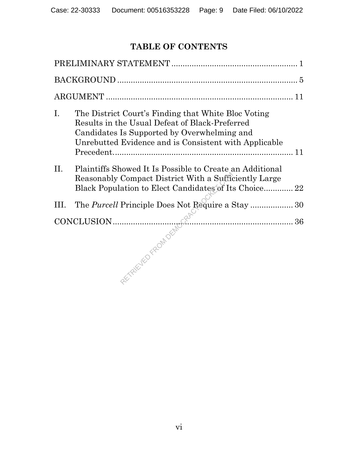# **TABLE OF CONTENTS**

| $I_{\cdot}$ | The District Court's Finding that White Bloc Voting<br>Results in the Usual Defeat of Black-Preferred<br>Candidates Is Supported by Overwhelming and<br>Unrebutted Evidence and is Consistent with Applicable |  |  |
|-------------|---------------------------------------------------------------------------------------------------------------------------------------------------------------------------------------------------------------|--|--|
| $\rm{II}$ . | Plaintiffs Showed It Is Possible to Create an Additional<br>Reasonably Compact District With a Sufficiently Large<br>Black Population to Elect Candidates of Its Choice 22                                    |  |  |
| III.        | The <i>Purcell</i> Principle Does Not Require a Stay  30                                                                                                                                                      |  |  |
|             |                                                                                                                                                                                                               |  |  |
|             | CONCLUSION 30                                                                                                                                                                                                 |  |  |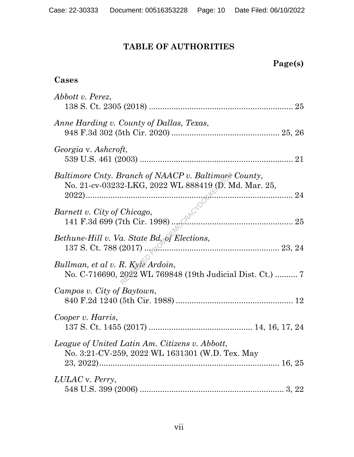# **TABLE OF AUTHORITIES**

| Page(s) |
|---------|
|---------|

# **Cases**

| Abbott v. Perez,                                                                                             |
|--------------------------------------------------------------------------------------------------------------|
| Anne Harding v. County of Dallas, Texas,                                                                     |
| Georgia v. Ashcroft,                                                                                         |
| Baltimore Cnty. Branch of NAACP v. Baltimore County,<br>No. 21-cv-03232-LKG, 2022 WL 888419 (D. Md. Mar. 25, |
| <i>The city of Chicago</i> ,<br>141 F.3d 699 (7th Cir. 1998)<br>Barnett v. City of Chicago,                  |
| Bethune-Hill v. Va. State Bd. of Elections,                                                                  |
| Bullman, et al v. R. Kyte Ardoin,<br>No. C-716690, 2022 WL 769848 (19th Judicial Dist. Ct.)  7               |
| Campos v. City of Baytown,                                                                                   |
| Cooper v. Harris,                                                                                            |
| League of United Latin Am. Citizens v. Abbott,<br>No. 3:21-CV-259, 2022 WL 1631301 (W.D. Tex. May            |
| LULAC v. Perry,                                                                                              |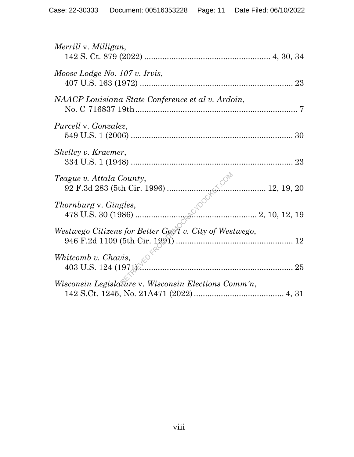| Merrill v. Milligan,                                     |  |
|----------------------------------------------------------|--|
| Moose Lodge No. 107 v. Irvis,                            |  |
| NAACP Louisiana State Conference et al v. Ardoin,        |  |
| <i>Purcell v. Gonzalez,</i>                              |  |
| Shelley v. Kraemer,                                      |  |
| Teague v. Attala County,                                 |  |
| Thornburg v. Gingles,                                    |  |
| Westwego Citizens for Better Gov't v. City of Westwego,  |  |
| $\frac{25}{403}$ U.S. 124 (1971).<br>Whitcomb v. Chavis, |  |
| Wisconsin Legislature v. Wisconsin Elections Comm'n,     |  |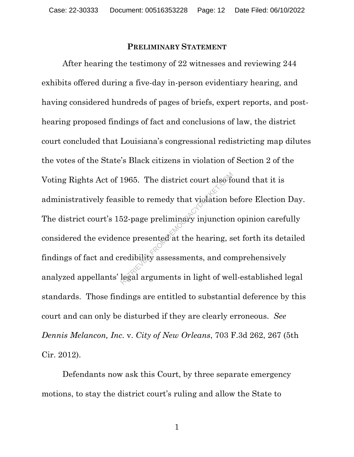#### **PRELIMINARY STATEMENT**

After hearing the testimony of 22 witnesses and reviewing 244 exhibits offered during a five-day in-person evidentiary hearing, and having considered hundreds of pages of briefs, expert reports, and posthearing proposed findings of fact and conclusions of law, the district court concluded that Louisiana's congressional redistricting map dilutes the votes of the State's Black citizens in violation of Section 2 of the Voting Rights Act of 1965. The district court also found that it is administratively feasible to remedy that violation before Election Day. The district court's 152-page preliminary injunction opinion carefully considered the evidence presented at the hearing, set forth its detailed findings of fact and credibility assessments, and comprehensively analyzed appellants' legal arguments in light of well-established legal standards. Those findings are entitled to substantial deference by this court and can only be disturbed if they are clearly erroneous. *See Dennis Melancon, Inc.* v. *City of New Orleans*, 703 F.3d 262, 267 (5th Cir. 2012). 1965. The district court also for<br>ible to remedy that violation b<br>52-page preliminary injunction<br>nce presented at the hearing, s<br>redibility assessments, and con<br>legal arguments in light of wel

Defendants now ask this Court, by three separate emergency motions, to stay the district court's ruling and allow the State to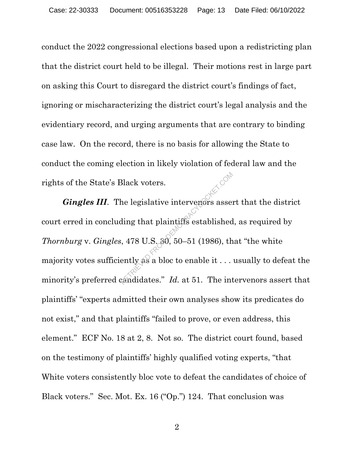conduct the 2022 congressional elections based upon a redistricting plan that the district court held to be illegal. Their motions rest in large part on asking this Court to disregard the district court's findings of fact, ignoring or mischaracterizing the district court's legal analysis and the evidentiary record, and urging arguments that are contrary to binding case law. On the record, there is no basis for allowing the State to conduct the coming election in likely violation of federal law and the rights of the State's Black voters.

*Gingles III.* The legislative intervenors assert that the district court erred in concluding that plaintiffs established, as required by *Thornburg* v. *Gingles*, 478 U.S. 30, 50–51 (1986), that "the white majority votes sufficiently as a bloc to enable it . . . usually to defeat the minority's preferred candidates." *Id.* at 51. The intervenors assert that plaintiffs' "experts admitted their own analyses show its predicates do not exist," and that plaintiffs "failed to prove, or even address, this element." ECF No. 18 at 2, 8. Not so. The district court found, based on the testimony of plaintiffs' highly qualified voting experts, "that White voters consistently bloc vote to defeat the candidates of choice of Black voters." Sec. Mot. Ex. 16 ("Op.") 124. That conclusion was Black voters.<br>
the legislative interveners asset<br>
ding that plaintiffs established<br>
is, 478 U.S. 30, 50–51 (1986), thently as a bloc to enable it ...<br>
candidates." Id. at 51. The inter-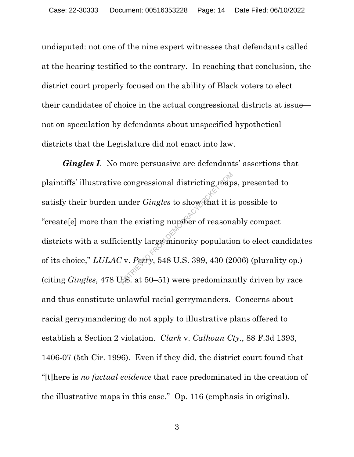undisputed: not one of the nine expert witnesses that defendants called at the hearing testified to the contrary. In reaching that conclusion, the district court properly focused on the ability of Black voters to elect their candidates of choice in the actual congressional districts at issue not on speculation by defendants about unspecified hypothetical districts that the Legislature did not enact into law.

*Gingles I*. No more persuasive are defendants' assertions that plaintiffs' illustrative congressional districting maps, presented to satisfy their burden under *Gingles* to show that it is possible to "create[e] more than the existing number of reasonably compact districts with a sufficiently large minority population to elect candidates of its choice," *LULAC* v. *Perry*, 548 U.S. 399, 430 (2006) (plurality op.) (citing *Gingles*, 478 U.S. at 50–51) were predominantly driven by race and thus constitute unlawful racial gerrymanders. Concerns about racial gerrymandering do not apply to illustrative plans offered to establish a Section 2 violation. *Clark* v. *Calhoun Cty.*, 88 F.3d 1393, 1406-07 (5th Cir. 1996). Even if they did, the district court found that "[t]here is *no factual evidence* that race predominated in the creation of the illustrative maps in this case." Op. 116 (emphasis in original).  $\therefore$  congressional districting map<br>
under *Gingles* to show that it is<br>
the existing number of reasons<br>
iently large minority population<br>  $\therefore$  v. *Perry*, 548 U.S. 399, 430 (2)<br>  $\therefore$  RS. at 50–51) were predominal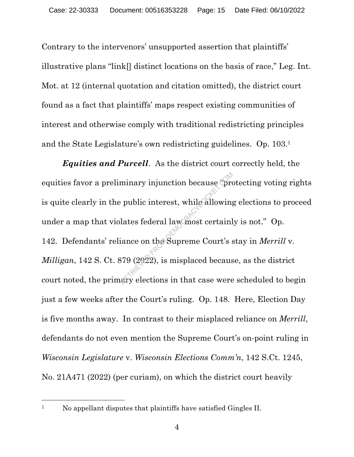Contrary to the intervenors' unsupported assertion that plaintiffs' illustrative plans "link[] distinct locations on the basis of race," Leg. Int. Mot. at 12 (internal quotation and citation omitted), the district court found as a fact that plaintiffs' maps respect existing communities of interest and otherwise comply with traditional redistricting principles and the State Legislature's own redistricting guidelines. Op. 103.1

*Equities and Purcell*. As the district court correctly held, the equities favor a preliminary injunction because "protecting voting rights is quite clearly in the public interest, while allowing elections to proceed under a map that violates federal law most certainly is not." Op. 142. Defendants' reliance on the Supreme Court's stay in *Merrill* v. *Milligan*, 142 S. Ct. 879 (2022), is misplaced because, as the district court noted, the primary elections in that case were scheduled to begin just a few weeks after the Court's ruling. Op. 148. Here, Election Day is five months away. In contrast to their misplaced reliance on *Merrill*, defendants do not even mention the Supreme Court's on-point ruling in *Wisconsin Legislature* v. *Wisconsin Elections Comm'n*, 142 S.Ct. 1245, No. 21A471 (2022) (per curiam), on which the district court heavily minary injunction because (pro<br>
public interest, while allowing<br>
lates federal law most certain<br>
iance on the Supreme Court's s<br>
379 (2022), is misplaced becaus<br>
ary elections in that case were

<sup>&</sup>lt;sup>1</sup> No appellant disputes that plaintiffs have satisfied Gingles II.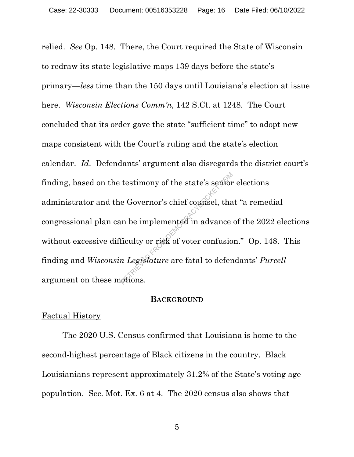relied. *See* Op. 148. There, the Court required the State of Wisconsin to redraw its state legislative maps 139 days before the state's primary—*less* time than the 150 days until Louisiana's election at issue here. *Wisconsin Elections Comm'n*, 142 S.Ct. at 1248. The Court concluded that its order gave the state "sufficient time" to adopt new maps consistent with the Court's ruling and the state's election calendar. *Id*. Defendants' argument also disregards the district court's finding, based on the testimony of the state's senior elections administrator and the Governor's chief counsel, that "a remedial congressional plan can be implemented in advance of the 2022 elections without excessive difficulty or risk of voter confusion." Op. 148. This finding and *Wisconsin Legislature* are fatal to defendants' *Purcell* argument on these motions. testimony of the state's senior<br>e Governor's chief counsel, that<br>in the implemented in advance<br>ficulty or risk of voter confusion<br>a Legislature are fatal to defent<br>priors.

#### **BACKGROUND**

### Factual History

The 2020 U.S. Census confirmed that Louisiana is home to the second-highest percentage of Black citizens in the country. Black Louisianians represent approximately 31.2% of the State's voting age population. Sec. Mot. Ex. 6 at 4. The 2020 census also shows that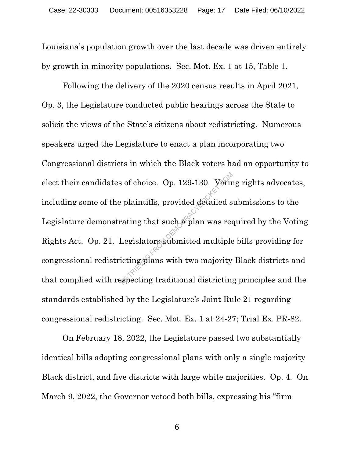Louisiana's population growth over the last decade was driven entirely by growth in minority populations. Sec. Mot. Ex. 1 at 15, Table 1.

Following the delivery of the 2020 census results in April 2021, Op. 3, the Legislature conducted public hearings across the State to solicit the views of the State's citizens about redistricting. Numerous speakers urged the Legislature to enact a plan incorporating two Congressional districts in which the Black voters had an opportunity to elect their candidates of choice. Op. 129-130. Voting rights advocates, including some of the plaintiffs, provided detailed submissions to the Legislature demonstrating that such a plan was required by the Voting Rights Act. Op. 21. Legislators submitted multiple bills providing for congressional redistricting plans with two majority Black districts and that complied with respecting traditional districting principles and the standards established by the Legislature's Joint Rule 21 regarding congressional redistricting. Sec. Mot. Ex. 1 at 24-27; Trial Ex. PR-82. of choice. Op. 129-130. Votin<br>
plaintiffs, provided detailed s<br>
rating that such a plan was red<br>
Legislators submitted multiple<br>
icting plans with two majority<br>
specting traditional districting

On February 18, 2022, the Legislature passed two substantially identical bills adopting congressional plans with only a single majority Black district, and five districts with large white majorities. Op. 4. On March 9, 2022, the Governor vetoed both bills, expressing his "firm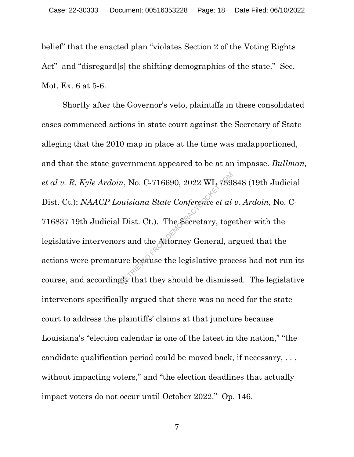belief" that the enacted plan "violates Section 2 of the Voting Rights Act" and "disregard[s] the shifting demographics of the state." Sec. Mot. Ex. 6 at 5-6.

Shortly after the Governor's veto, plaintiffs in these consolidated cases commenced actions in state court against the Secretary of State alleging that the 2010 map in place at the time was malapportioned, and that the state government appeared to be at an impasse. *Bullman, et al v. R. Kyle Ardoin*, No. C-716690, 2022 WL 769848 (19th Judicial Dist. Ct.); *NAACP Louisiana State Conference et al v. Ardoin*, No. C-716837 19th Judicial Dist. Ct.). The Secretary, together with the legislative intervenors and the Attorney General, argued that the actions were premature because the legislative process had not run its course, and accordingly that they should be dismissed. The legislative intervenors specifically argued that there was no need for the state court to address the plaintiffs' claims at that juncture because Louisiana's "election calendar is one of the latest in the nation," "the candidate qualification period could be moved back, if necessary, . . . without impacting voters," and "the election deadlines that actually impact voters do not occur until October 2022." Op. 146.  $R$ , No. C-716690, 2022 WL 789.<br>
wisiana State Conference et al.<br>
Dist. Ct.). The Secretary, togeneral, as<br>
is and the Attorney General, as<br>
ire because the legislative production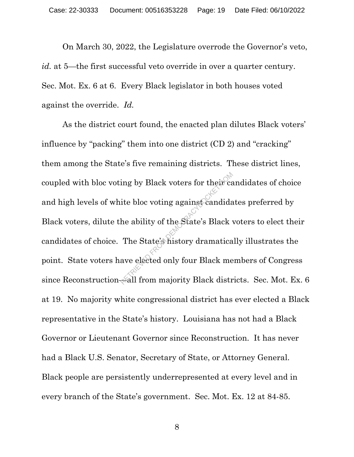On March 30, 2022, the Legislature overrode the Governor's veto, *id.* at 5—the first successful veto override in over a quarter century. Sec. Mot. Ex. 6 at 6. Every Black legislator in both houses voted against the override. *Id.*

As the district court found, the enacted plan dilutes Black voters' influence by "packing" them into one district (CD 2) and "cracking" them among the State's five remaining districts. These district lines, coupled with bloc voting by Black voters for their candidates of choice and high levels of white bloc voting against candidates preferred by Black voters, dilute the ability of the State's Black voters to elect their candidates of choice. The State's history dramatically illustrates the point. State voters have elected only four Black members of Congress since Reconstruction—all from majority Black districts. Sec. Mot. Ex. 6 at 19. No majority white congressional district has ever elected a Black representative in the State's history. Louisiana has not had a Black Governor or Lieutenant Governor since Reconstruction. It has never had a Black U.S. Senator, Secretary of State, or Attorney General. Black people are persistently underrepresented at every level and in every branch of the State's government. Sec. Mot. Ex. 12 at 84-85. ing by Black voters for their can<br>ite bloc voting against candida<br>he ability of the State's Black<br>The State's history dramatica<br>ave elected only four Black me<br>all from majority Black distr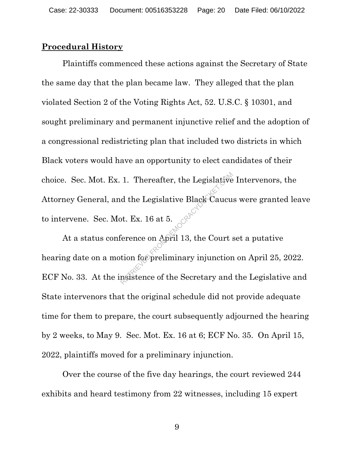### **Procedural History**

Plaintiffs commenced these actions against the Secretary of State the same day that the plan became law. They alleged that the plan violated Section 2 of the Voting Rights Act, 52. U.S.C. § 10301, and sought preliminary and permanent injunctive relief and the adoption of a congressional redistricting plan that included two districts in which Black voters would have an opportunity to elect candidates of their choice. Sec. Mot. Ex. 1. Thereafter, the Legislative Intervenors, the Attorney General, and the Legislative Black Caucus were granted leave to intervene. Sec. Mot. Ex. 16 at 5. 1. Thereafter, the Legislative<br>d the Legislative Black Caucu<br>ot. Ex. 16 at 5.<br> $\epsilon$ <br>ference on April 13, the Court s<br>tion for preliminary injunction<br>nsistence of the Secretary and

At a status conference on April 13, the Court set a putative hearing date on a motion for preliminary injunction on April 25, 2022. ECF No. 33. At the insistence of the Secretary and the Legislative and State intervenors that the original schedule did not provide adequate time for them to prepare, the court subsequently adjourned the hearing by 2 weeks, to May 9. Sec. Mot. Ex. 16 at 6; ECF No. 35. On April 15, 2022, plaintiffs moved for a preliminary injunction.

Over the course of the five day hearings, the court reviewed 244 exhibits and heard testimony from 22 witnesses, including 15 expert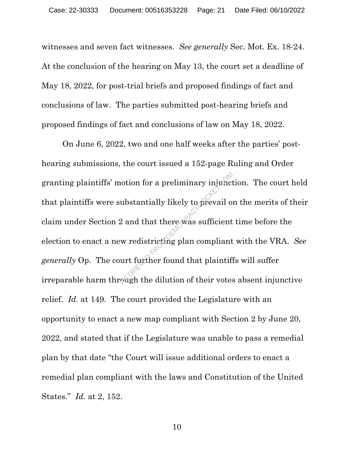witnesses and seven fact witnesses. *See generally* Sec. Mot. Ex. 18-24. At the conclusion of the hearing on May 13, the court set a deadline of May 18, 2022, for post-trial briefs and proposed findings of fact and conclusions of law. The parties submitted post-hearing briefs and proposed findings of fact and conclusions of law on May 18, 2022.

On June 6, 2022, two and one half weeks after the parties' posthearing submissions, the court issued a 152-page Ruling and Order granting plaintiffs' motion for a preliminary injunction. The court held that plaintiffs were substantially likely to prevail on the merits of their claim under Section 2 and that there was sufficient time before the election to enact a new redistricting plan compliant with the VRA. *See generally* Op. The court further found that plaintiffs will suffer irreparable harm through the dilution of their votes absent injunctive relief. *Id.* at 149. The court provided the Legislature with an opportunity to enact a new map compliant with Section 2 by June 20, 2022, and stated that if the Legislature was unable to pass a remedial plan by that date "the Court will issue additional orders to enact a remedial plan compliant with the laws and Constitution of the United States." *Id.* at 2, 152. Notion for a preliminary injunct<br>
ubstantially likely to prevail of<br>
2 and that there was sufficient<br>
w redistricting plan compliant<br>
urt further found that plaintifier<br>
exgh the dilution of their votes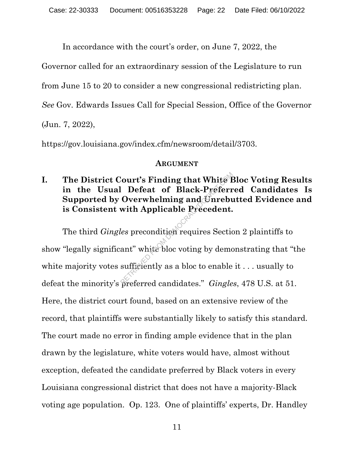In accordance with the court's order, on June 7, 2022, the

Governor called for an extraordinary session of the Legislature to run

from June 15 to 20 to consider a new congressional redistricting plan.

*See* Gov. Edwards Issues Call for Special Session, Office of the Governor

(Jun. 7, 2022),

https://gov.louisiana.gov/index.cfm/newsroom/detail/3703.

## **ARGUMENT**

# **I. The District Court's Finding that White Bloc Voting Results in the Usual Defeat of Black-Preferred Candidates Is Supported by Overwhelming and Unrebutted Evidence and is Consistent with Applicable Precedent.**

The third *Gingles* precondition requires Section 2 plaintiffs to show "legally significant" white bloc voting by demonstrating that "the white majority votes sufficiently as a bloc to enable it . . . usually to defeat the minority's preferred candidates." *Gingles*, 478 U.S. at 51. Here, the district court found, based on an extensive review of the record, that plaintiffs were substantially likely to satisfy this standard. The court made no error in finding ample evidence that in the plan drawn by the legislature, white voters would have, almost without exception, defeated the candidate preferred by Black voters in every Louisiana congressional district that does not have a majority-Black voting age population. Op. 123. One of plaintiffs' experts, Dr. Handley Court's Finding that White  $\Gamma$ <br>
Defeat of Black-Preferr<br>
Overwhelming and Unrebu<br>
with Applicable Precedent.<br>
Les precondition requires Section<br>
ant" white bloc voting by demotes and the section of the sufficiently as a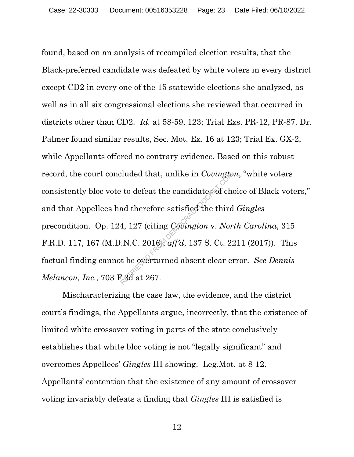found, based on an analysis of recompiled election results, that the Black-preferred candidate was defeated by white voters in every district except CD2 in every one of the 15 statewide elections she analyzed, as well as in all six congressional elections she reviewed that occurred in districts other than CD2. *Id.* at 58-59, 123; Trial Exs. PR-12, PR-87. Dr. Palmer found similar results, Sec. Mot. Ex. 16 at 123; Trial Ex. GX-2, while Appellants offered no contrary evidence. Based on this robust record, the court concluded that, unlike in *Covington*, "white voters consistently bloc vote to defeat the candidates of choice of Black voters," and that Appellees had therefore satisfied the third *Gingles* precondition. Op. 124, 127 (citing *Covington* v. *North Carolina*, 315 F.R.D. 117, 167 (M.D.N.C. 2016), *aff'd*, 137 S. Ct. 2211 (2017)). This factual finding cannot be overturned absent clear error. *See Dennis Melancon, Inc.*, 703 F.3d at 267. Eluded that, unlike in Covingto:<br>
it to defeat the candidates of change of the distributed the third<br>
4, 127 (citing Covington v. Nor<br>  $N.C. 2016$ ), aff'd, 137 S. Ct. 2:<br>
it be overturned absent clear exception<br>
it is a 26

Mischaracterizing the case law, the evidence, and the district court's findings, the Appellants argue, incorrectly, that the existence of limited white crossover voting in parts of the state conclusively establishes that white bloc voting is not "legally significant" and overcomes Appellees' *Gingles* III showing. Leg.Mot. at 8-12. Appellants' contention that the existence of any amount of crossover voting invariably defeats a finding that *Gingles* III is satisfied is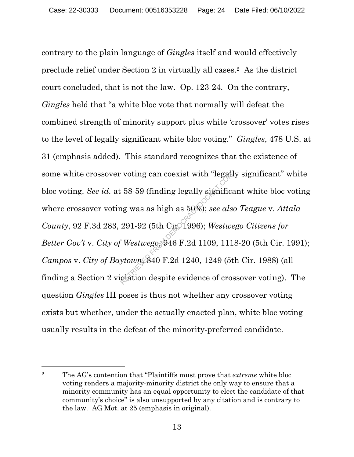contrary to the plain language of *Gingles* itself and would effectively preclude relief under Section 2 in virtually all cases.2 As the district court concluded, that is not the law. Op. 123-24. On the contrary, *Gingles* held that "a white bloc vote that normally will defeat the combined strength of minority support plus white 'crossover' votes rises to the level of legally significant white bloc voting." *Gingles*, 478 U.S. at 31 (emphasis added). This standard recognizes that the existence of some white crossover voting can coexist with "legally significant" white bloc voting. *See id.* at 58-59 (finding legally significant white bloc voting where crossover voting was as high as 50%); *see also Teague* v. *Attala County*, 92 F.3d 283, 291-92 (5th Cir. 1996); *Westwego Citizens for Better Gov't* v. *City of Westwego*, 946 F.2d 1109, 1118-20 (5th Cir. 1991); *Campos* v. *City of Baytown*, 840 F.2d 1240, 1249 (5th Cir. 1988) (all finding a Section 2 violation despite evidence of crossover voting). The question *Gingles* III poses is thus not whether any crossover voting exists but whether, under the actually enacted plan, white bloc voting usually results in the defeat of the minority-preferred candidate. voting can coexist with "legate"<br>  $58-59$  (finding legally signification<br>
1986); see als<br>  $291-92$  (5th Circ 1996); Westwe<br>  $\frac{8}{3}$  Westwego 946 F.2d 1109, 111<br>  $\frac{8}{3}$  Westwego 946 F.2d 1109, 111<br>
olation despite evi

<sup>2</sup> The AG's contention that "Plaintiffs must prove that *extreme* white bloc voting renders a majority-minority district the only way to ensure that a minority community has an equal opportunity to elect the candidate of that community's choice" is also unsupported by any citation and is contrary to the law. AG Mot. at 25 (emphasis in original).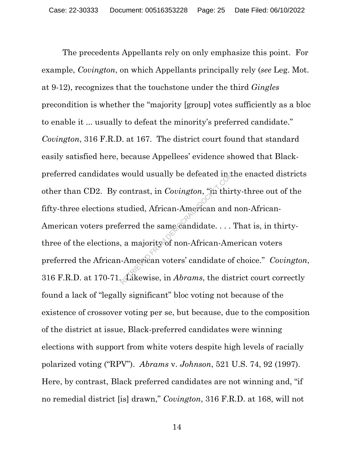The precedents Appellants rely on only emphasize this point. For example, *Covington*, on which Appellants principally rely (*see* Leg. Mot. at 9-12), recognizes that the touchstone under the third *Gingles* precondition is whether the "majority [group] votes sufficiently as a bloc to enable it ... usually to defeat the minority's preferred candidate." *Covington*, 316 F.R.D. at 167. The district court found that standard easily satisfied here, because Appellees' evidence showed that Blackpreferred candidates would usually be defeated in the enacted districts other than CD2. By contrast, in *Covington*, "in thirty-three out of the fifty-three elections studied, African-American and non-African-American voters preferred the same candidate. . . . That is, in thirtythree of the elections, a majority of non-African-American voters preferred the African-American voters' candidate of choice." *Covington*, 316 F.R.D. at 170-71. Likewise, in *Abrams*, the district court correctly found a lack of "legally significant" bloc voting not because of the existence of crossover voting per se, but because, due to the composition of the district at issue, Black-preferred candidates were winning elections with support from white voters despite high levels of racially polarized voting ("RPV"). *Abrams* v. *Johnson*, 521 U.S. 74, 92 (1997). Here, by contrast, Black preferred candidates are not winning and, "if no remedial district [is] drawn," *Covington*, 316 F.R.D. at 168, will not would usually be defeated in the contrast, in *Covington*, "in thirt udied, African-American and erred the same candidate....<br>a majority of non-African-American American voters' candidate of the same candidate of the Ameri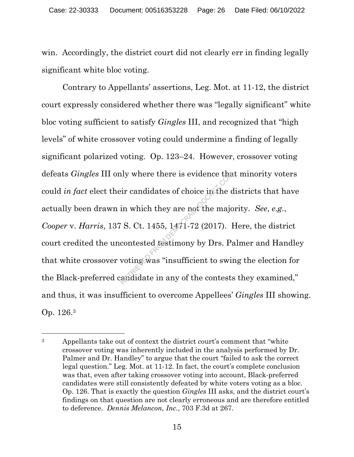win. Accordingly, the district court did not clearly err in finding legally significant white bloc voting.

Contrary to Appellants' assertions, Leg. Mot. at 11-12, the district court expressly considered whether there was "legally significant" white bloc voting sufficient to satisfy *Gingles* III, and recognized that "high levels" of white crossover voting could undermine a finding of legally significant polarized voting. Op. 123–24. However, crossover voting defeats *Gingles* III only where there is evidence that minority voters could *in fact* elect their candidates of choice in the districts that have actually been drawn in which they are not the majority. *See*, *e.g.*, *Cooper* v. *Harris*, 137 S. Ct. 1455, 1471-72 (2017). Here, the district court credited the uncontested testimony by Drs. Palmer and Handley that white crossover voting was "insufficient to swing the election for the Black-preferred candidate in any of the contests they examined," and thus, it was insufficient to overcome Appellees' *Gingles* III showing. Op. 126.3 Fir candidates of choice in the computer of the major in which they are not the major S. Ct. 1455, 1471-72 (2017). I<br>contested gestimony by Drs. Particularly by Drs. Particularly was "insufficient to switch and date in an

<sup>&</sup>lt;sup>3</sup> Appellants take out of context the district court's comment that "white crossover voting was inherently included in the analysis performed by Dr. Palmer and Dr. Handley" to argue that the court "failed to ask the correct legal question." Leg. Mot. at 11-12. In fact, the court's complete conclusion was that, even after taking crossover voting into account, Black-preferred candidates were still consistently defeated by white voters voting as a bloc. Op. 126. That is exactly the question *Gingles* III asks, and the district court's findings on that question are not clearly erroneous and are therefore entitled to deference. *Dennis Melancon, Inc.*, 703 F.3d at 267.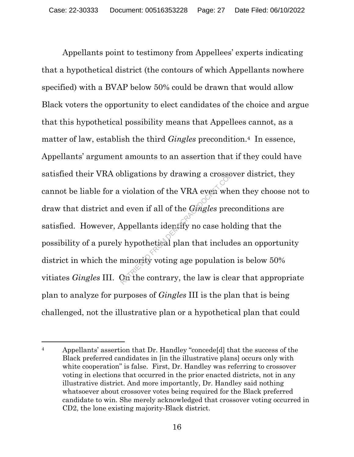Appellants point to testimony from Appellees' experts indicating that a hypothetical district (the contours of which Appellants nowhere specified) with a BVAP below 50% could be drawn that would allow Black voters the opportunity to elect candidates of the choice and argue that this hypothetical possibility means that Appellees cannot, as a matter of law, establish the third *Gingles* precondition.4 In essence, Appellants' argument amounts to an assertion that if they could have satisfied their VRA obligations by drawing a crossover district, they cannot be liable for a violation of the VRA even when they choose not to draw that district and even if all of the *Gingles* preconditions are satisfied. However, Appellants identify no case holding that the possibility of a purely hypothetical plan that includes an opportunity district in which the minority voting age population is below 50% vitiates *Gingles* III. On the contrary, the law is clear that appropriate plan to analyze for purposes of *Gingles* III is the plan that is being challenged, not the illustrative plan or a hypothetical plan that could bligations by drawing a crosse<br>violation of the VRA even where<br>d even if all of the *Gingles* preced<br>popellants identify no case hole<br>popellants identify no case hole<br>popellants identify no case hole<br>population<br>minority vo

<sup>&</sup>lt;sup>4</sup> Appellants' assertion that Dr. Handley "concede<sup>[d]</sup> that the success of the Black preferred candidates in [in the illustrative plans] occurs only with white cooperation" is false. First, Dr. Handley was referring to crossover voting in elections that occurred in the prior enacted districts, not in any illustrative district. And more importantly, Dr. Handley said nothing whatsoever about crossover votes being required for the Black preferred candidate to win. She merely acknowledged that crossover voting occurred in CD2, the lone existing majority-Black district.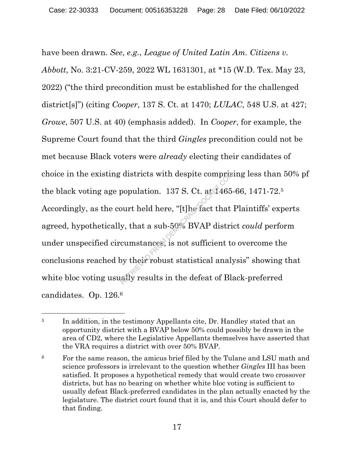have been drawn. *See*, *e.g.*, *League of United Latin Am. Citizens v. Abbott*, No. 3:21-CV-259, 2022 WL 1631301, at \*15 (W.D. Tex. May 23, 2022) ("the third precondition must be established for the challenged district[s]") (citing *Cooper*, 137 S. Ct. at 1470; *LULAC*, 548 U.S. at 427; *Growe*, 507 U.S. at 40) (emphasis added). In *Cooper*, for example, the Supreme Court found that the third *Gingles* precondition could not be met because Black voters were *already* electing their candidates of choice in the existing districts with despite comprising less than 50% pf the black voting age population. 137 S. Ct. at  $1465-66$ , 1471-72.<sup>5</sup> Accordingly, as the court held here, "[t]he fact that Plaintiffs' experts agreed, hypothetically, that a sub-50% BVAP district *could* perform under unspecified circumstances, is not sufficient to overcome the conclusions reached by their robust statistical analysis" showing that white bloc voting usually results in the defeat of Black-preferred candidates. Op. 126.6 districts with despite comprispopulation. 137 S. Ct. at  $1465$ <br>population. 137 S. Ct. at  $1465$ <br>cumstances, is not sufficient to<br>cumstances, is not sufficient to<br>by their robust statistical analy<br>ally results in the defea

<sup>&</sup>lt;sup>5</sup> In addition, in the testimony Appellants cite, Dr. Handley stated that an opportunity district with a BVAP below 50% could possibly be drawn in the area of CD2, where the Legislative Appellants themselves have asserted that the VRA requires a district with over 50% BVAP.

<sup>&</sup>lt;sup>6</sup> For the same reason, the amicus brief filed by the Tulane and LSU math and science professors is irrelevant to the question whether *Gingles* III has been satisfied. It proposes a hypothetical remedy that would create two crossover districts, but has no bearing on whether white bloc voting is sufficient to usually defeat Black-preferred candidates in the plan actually enacted by the legislature. The district court found that it is, and this Court should defer to that finding.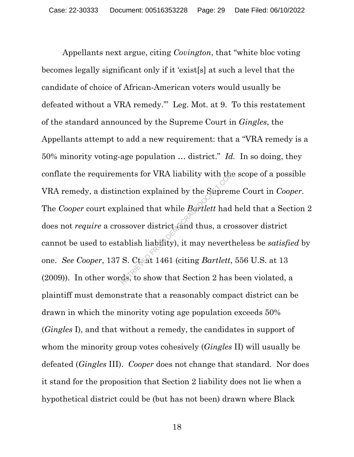Appellants next argue, citing *Covington*, that "white bloc voting becomes legally significant only if it 'exist[s] at such a level that the candidate of choice of African-American voters would usually be defeated without a VRA remedy.'" Leg. Mot. at 9. To this restatement of the standard announced by the Supreme Court in *Gingles*, the Appellants attempt to add a new requirement: that a "VRA remedy is a 50% minority voting-age population … district." *Id.* In so doing, they conflate the requirements for VRA liability with the scope of a possible VRA remedy, a distinction explained by the Supreme Court in *Cooper*. The *Cooper* court explained that while *Bartlett* had held that a Section 2 does not *require* a crossover district (and thus, a crossover district cannot be used to establish liability), it may nevertheless be *satisfied* by one. *See Cooper*, 137 S. Ct. at 1461 (citing *Bartlett*, 556 U.S. at 13 (2009)). In other words, to show that Section 2 has been violated, a plaintiff must demonstrate that a reasonably compact district can be drawn in which the minority voting age population exceeds 50% (*Gingles* I), and that without a remedy, the candidates in support of whom the minority group votes cohesively (*Gingles* II) will usually be defeated (*Gingles* III). *Cooper* does not change that standard. Nor does it stand for the proposition that Section 2 liability does not lie when a hypothetical district could be (but has not been) drawn where Black Next for VRA hability with the<br>
netion explained by the Suprem<br>
lained that while *Bartlett* had<br>
next district (and thus, a cro<br>
ablish liability), it may nevertl<br>
S. Ct at 1461 (citing *Bartlett*,<br>
ds, to show that Secti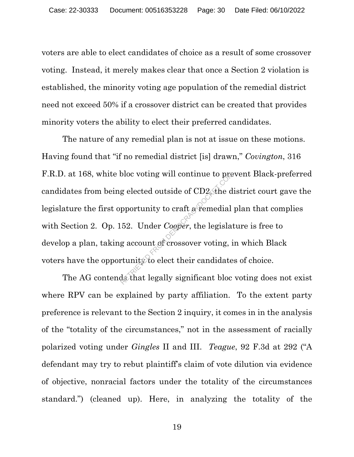voters are able to elect candidates of choice as a result of some crossover voting. Instead, it merely makes clear that once a Section 2 violation is established, the minority voting age population of the remedial district need not exceed 50% if a crossover district can be created that provides minority voters the ability to elect their preferred candidates.

The nature of any remedial plan is not at issue on these motions. Having found that "if no remedial district [is] drawn," *Covington*, 316 F.R.D. at 168, white bloc voting will continue to prevent Black-preferred candidates from being elected outside of CD2, the district court gave the legislature the first opportunity to craft a remedial plan that complies with Section 2. Op. 152. Under *Cooper*, the legislature is free to develop a plan, taking account of crossover voting, in which Black voters have the opportunity to elect their candidates of choice.  $\epsilon$ g elected outside of CD2 the d<br>pportunity to craft a remedial<br>52. Under *Cooper*, the legislar<br>g account of crossover voting, if<br>tunity to elect their candidate<br>ds that legally significant bloc

The AG contends that legally significant bloc voting does not exist where RPV can be explained by party affiliation. To the extent party preference is relevant to the Section 2 inquiry, it comes in in the analysis of the "totality of the circumstances," not in the assessment of racially polarized voting under *Gingles* II and III. *Teague*, 92 F.3d at 292 ("A defendant may try to rebut plaintiff's claim of vote dilution via evidence of objective, nonracial factors under the totality of the circumstances standard.") (cleaned up). Here, in analyzing the totality of the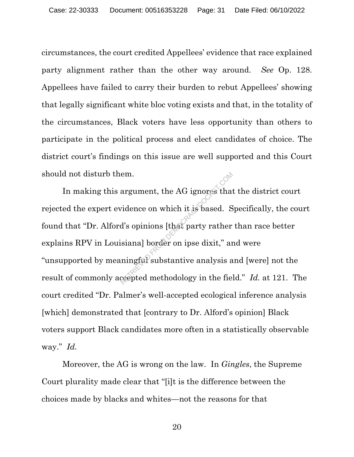circumstances, the court credited Appellees' evidence that race explained party alignment rather than the other way around. *See* Op. 128. Appellees have failed to carry their burden to rebut Appellees' showing that legally significant white bloc voting exists and that, in the totality of the circumstances, Black voters have less opportunity than others to participate in the political process and elect candidates of choice. The district court's findings on this issue are well supported and this Court should not disturb them.

In making this argument, the AG ignores that the district court rejected the expert evidence on which it is based. Specifically, the court found that "Dr. Alford's opinions [that party rather than race better explains RPV in Louisiana] border on ipse dixit," and were "unsupported by meaningful substantive analysis and [were] not the result of commonly accepted methodology in the field." *Id.* at 121. The court credited "Dr. Palmer's well-accepted ecological inference analysis [which] demonstrated that [contrary to Dr. Alford's opinion] Black voters support Black candidates more often in a statistically observable way." *Id.* em.<br>
argument, the AG ignores that<br>
vidence on which it is based. S<br>
d's opinions [that party rather<br>
isiana] border on ipse dixit," ar<br>
mingful substantive analysis a<br>
ccepted methodology in the fie.

Moreover, the AG is wrong on the law. In *Gingles*, the Supreme Court plurality made clear that "[i]t is the difference between the choices made by blacks and whites—not the reasons for that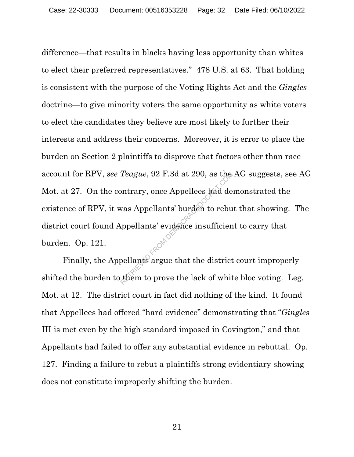difference—that results in blacks having less opportunity than whites to elect their preferred representatives." 478 U.S. at 63. That holding is consistent with the purpose of the Voting Rights Act and the *Gingles* doctrine—to give minority voters the same opportunity as white voters to elect the candidates they believe are most likely to further their interests and address their concerns. Moreover, it is error to place the burden on Section 2 plaintiffs to disprove that factors other than race account for RPV, *see Teague*, 92 F.3d at 290, as the AG suggests, see AG Mot. at 27. On the contrary, once Appellees had demonstrated the existence of RPV, it was Appellants' burden to rebut that showing. The district court found Appellants' evidence insufficient to carry that burden. Op. 121. Teague, 92 F.3d at 290, as the<br>pontrary, once Appellees had de<br>vas Appellants' burden to rebu<br>ppellants' evidence insufficien<br>pellants argue that the district<br>them to prove the lack of whit

Finally, the Appellants argue that the district court improperly shifted the burden to them to prove the lack of white bloc voting. Leg. Mot. at 12. The district court in fact did nothing of the kind. It found that Appellees had offered "hard evidence" demonstrating that "*Gingles*  III is met even by the high standard imposed in Covington," and that Appellants had failed to offer any substantial evidence in rebuttal. Op. 127. Finding a failure to rebut a plaintiffs strong evidentiary showing does not constitute improperly shifting the burden.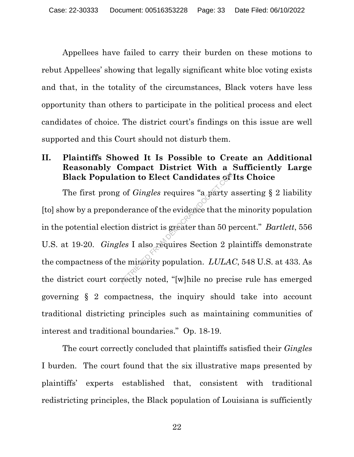Appellees have failed to carry their burden on these motions to rebut Appellees' showing that legally significant white bloc voting exists and that, in the totality of the circumstances, Black voters have less opportunity than others to participate in the political process and elect candidates of choice. The district court's findings on this issue are well supported and this Court should not disturb them.

# **II. Plaintiffs Showed It Is Possible to Create an Additional Reasonably Compact District With a Sufficiently Large Black Population to Elect Candidates of Its Choice**

The first prong of *Gingles* requires "a party asserting § 2 liability [to] show by a preponderance of the evidence that the minority population in the potential election district is greater than 50 percent." *Bartlett*, 556 U.S. at 19-20. *Gingles* I also requires Section 2 plaintiffs demonstrate the compactness of the minority population. *LULAC*, 548 U.S. at 433. As the district court correctly noted, "[w]hile no precise rule has emerged governing § 2 compactness, the inquiry should take into account traditional districting principles such as maintaining communities of interest and traditional boundaries." Op. 18-19. From to Elect Candidates of<br>
of *Gingles* requires "a party a<br>
derance of the evidence that the<br>
on district is greater than 50 p<br>
les I also requires Section 2 p<br>
is a minority population.  $LULA$ <br>
rectly noted, "[w]hile n

The court correctly concluded that plaintiffs satisfied their *Gingles* I burden. The court found that the six illustrative maps presented by plaintiffs' experts established that, consistent with traditional redistricting principles, the Black population of Louisiana is sufficiently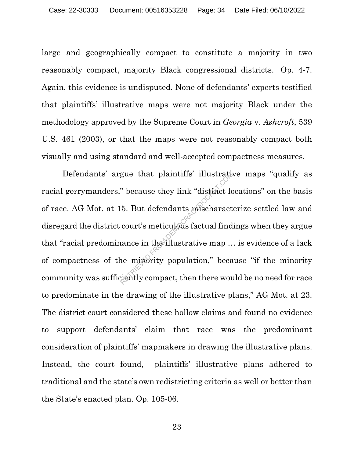large and geographically compact to constitute a majority in two reasonably compact, majority Black congressional districts. Op. 4-7. Again, this evidence is undisputed. None of defendants' experts testified that plaintiffs' illustrative maps were not majority Black under the methodology approved by the Supreme Court in *Georgia* v. *Ashcroft*, 539 U.S. 461 (2003), or that the maps were not reasonably compact both visually and using standard and well-accepted compactness measures.

Defendants' argue that plaintiffs' illustrative maps "qualify as racial gerrymanders," because they link "distinct locations" on the basis of race. AG Mot. at 15. But defendants mischaracterize settled law and disregard the district court's meticulous factual findings when they argue that "racial predominance in the illustrative map … is evidence of a lack of compactness of the minority population," because "if the minority community was sufficiently compact, then there would be no need for race to predominate in the drawing of the illustrative plans," AG Mot. at 23. The district court considered these hollow claims and found no evidence to support defendants' claim that race was the predominant consideration of plaintiffs' mapmakers in drawing the illustrative plans. Instead, the court found, plaintiffs' illustrative plans adhered to traditional and the state's own redistricting criteria as well or better than the State's enacted plan. Op. 105-06. gue that plaintiffs' illustrative<br>
"because they link "distinct low"<br>
5. But defendants mischaract<br>
court's meticulous factual find<br>
nance in the illustrative map ...<br>
ne misority population," because it is not be a signal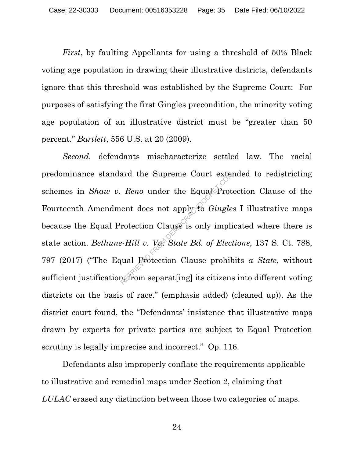*First*, by faulting Appellants for using a threshold of 50% Black voting age population in drawing their illustrative districts, defendants ignore that this threshold was established by the Supreme Court: For purposes of satisfying the first Gingles precondition, the minority voting age population of an illustrative district must be "greater than 50 percent." *Bartlett*, 556 U.S. at 20 (2009).

*Second,* defendants mischaracterize settled law. The racial predominance standard the Supreme Court extended to redistricting schemes in *Shaw v. Reno* under the Equal Protection Clause of the Fourteenth Amendment does not apply to *Gingles* I illustrative maps because the Equal Protection Clause is only implicated where there is state action. *Bethune-Hill v. Va. State Bd. of Elections*, 137 S. Ct. 788, 797 (2017) ("The Equal Protection Clause prohibits *a State*, without sufficient justification, from separat[ing] its citizens into different voting districts on the basis of race." (emphasis added) (cleaned up)). As the district court found, the "Defendants' insistence that illustrative maps drawn by experts for private parties are subject to Equal Protection scrutiny is legally imprecise and incorrect." Op. 116. ard the Supreme Court external<br>
Reno under the Equal Prot<br>
ent does not apply to *Gingle*<br>
rotection Clause is only impli<br>
e-Hill v. V& State Bd. of Elect<br>
rual Protection Clause prohib<br>
a from separat[ing] its citizens

Defendants also improperly conflate the requirements applicable to illustrative and remedial maps under Section 2, claiming that *LULAC* erased any distinction between those two categories of maps.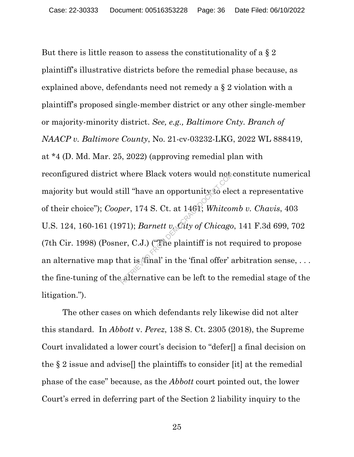But there is little reason to assess the constitutionality of a  $\S 2$ plaintiff's illustrative districts before the remedial phase because, as explained above, defendants need not remedy a § 2 violation with a plaintiff's proposed single-member district or any other single-member or majority-minority district. *See, e.g., Baltimore Cnty. Branch of NAACP v. Baltimore County*, No. 21-cv-03232-LKG, 2022 WL 888419, at \*4 (D. Md. Mar. 25, 2022) (approving remedial plan with reconfigured district where Black voters would not constitute numerical majority but would still "have an opportunity to elect a representative of their choice"); *Cooper*, 174 S. Ct. at 1461; *Whitcomb v. Chavis*, 403 U.S. 124, 160-161 (1971); *Barnett v. City of Chicago*, 141 F.3d 699, 702 (7th Cir. 1998) (Posner, C.J.) ("The plaintiff is not required to propose an alternative map that is  $\{$ inal' in the 'final offer' arbitration sense, ... the fine-tuning of the alternative can be left to the remedial stage of the litigation."). where Black voters would not<br>till "have an opportunity to ele<br>per, 174 S. Ct. at 1461; Whitcon<br> $(971)$ ; Barnett v. City of Chicago<br>er, C.J.) ("The plaintiff is not r<br>hat is final' in the 'final offer' at<br>alternative can b

The other cases on which defendants rely likewise did not alter this standard. In *Abbott* v. *Perez*, 138 S. Ct. 2305 (2018), the Supreme Court invalidated a lower court's decision to "defer[] a final decision on the § 2 issue and advise[] the plaintiffs to consider [it] at the remedial phase of the case" because, as the *Abbott* court pointed out, the lower Court's erred in deferring part of the Section 2 liability inquiry to the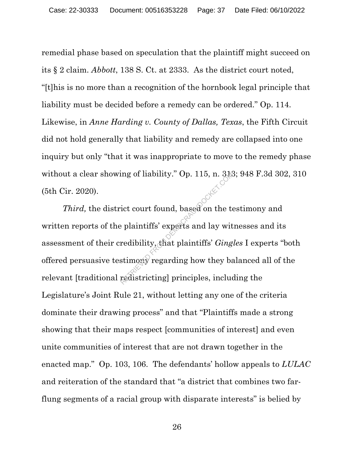remedial phase based on speculation that the plaintiff might succeed on its § 2 claim. *Abbott*, 138 S. Ct. at 2333. As the district court noted, "[t]his is no more than a recognition of the hornbook legal principle that liability must be decided before a remedy can be ordered." Op. 114. Likewise, in *Anne Harding v. County of Dallas, Texas*, the Fifth Circuit did not hold generally that liability and remedy are collapsed into one inquiry but only "that it was inappropriate to move to the remedy phase without a clear showing of liability." Op. 115, n. 313; 948 F.3d 302, 310 (5th Cir. 2020).

*Third,* the district court found, based on the testimony and written reports of the plaintiffs' experts and lay witnesses and its assessment of their credibility, that plaintiffs' *Gingles* I experts "both offered persuasive testimony regarding how they balanced all of the relevant [traditional redistricting] principles, including the Legislature's Joint Rule 21, without letting any one of the criteria dominate their drawing process" and that "Plaintiffs made a strong showing that their maps respect [communities of interest] and even unite communities of interest that are not drawn together in the enacted map." Op. 103, 106. The defendants' hollow appeals to *LULAC* and reiteration of the standard that "a district that combines two farflung segments of a racial group with disparate interests" is belied by redibility." Op. 115, n. 34.<br>ict court found, based on the top plaintiffs' experts and lay with<br>redibility, that plaintiffs' *Ging*<br>stimony regarding how they based<br>redistricting] principles, include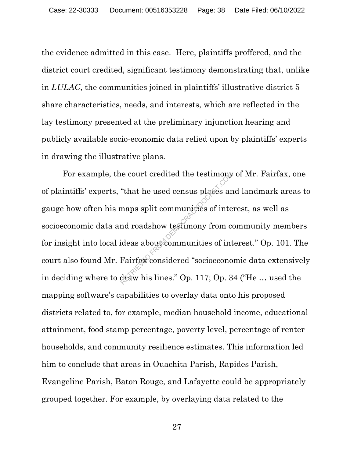the evidence admitted in this case. Here, plaintiffs proffered, and the district court credited, significant testimony demonstrating that, unlike in *LULAC*, the communities joined in plaintiffs' illustrative district 5 share characteristics, needs, and interests, which are reflected in the lay testimony presented at the preliminary injunction hearing and publicly available socio-economic data relied upon by plaintiffs' experts in drawing the illustrative plans.

For example, the court credited the testimony of Mr. Fairfax, one of plaintiffs' experts, "that he used census places and landmark areas to gauge how often his maps split communities of interest, as well as socioeconomic data and roadshow testimony from community members for insight into local ideas about communities of interest." Op. 101. The court also found Mr. Fairfax considered "socioeconomic data extensively in deciding where to draw his lines." Op. 117; Op. 34 ("He … used the mapping software's capabilities to overlay data onto his proposed districts related to, for example, median household income, educational attainment, food stamp percentage, poverty level, percentage of renter households, and community resilience estimates. This information led him to conclude that areas in Ouachita Parish, Rapides Parish, Evangeline Parish, Baton Rouge, and Lafayette could be appropriately grouped together. For example, by overlaying data related to the e court credited the testimony<br>
"that he used census places an<br>
maps split communities of inte<br>
nd roadshow testimony from co<br>
ideas about communities of int<br>
Fairfax considered "socioecono<br>
draw his lines." Op. 117; Op. 3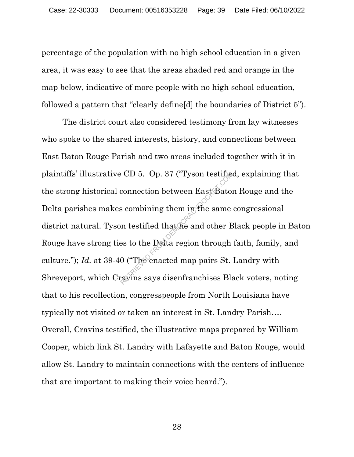percentage of the population with no high school education in a given area, it was easy to see that the areas shaded red and orange in the map below, indicative of more people with no high school education, followed a pattern that "clearly define[d] the boundaries of District 5").

The district court also considered testimony from lay witnesses who spoke to the shared interests, history, and connections between East Baton Rouge Parish and two areas included together with it in plaintiffs' illustrative CD 5. Op. 37 ("Tyson testified, explaining that the strong historical connection between East Baton Rouge and the Delta parishes makes combining them in the same congressional district natural. Tyson testified that he and other Black people in Baton Rouge have strong ties to the Delta region through faith, family, and culture."); *Id.* at 39-40 ("The enacted map pairs St. Landry with Shreveport, which Cravins says disenfranchises Black voters, noting that to his recollection, congresspeople from North Louisiana have typically not visited or taken an interest in St. Landry Parish…. Overall, Cravins testified, the illustrative maps prepared by William Cooper, which link St. Landry with Lafayette and Baton Rouge, would allow St. Landry to maintain connections with the centers of influence that are important to making their voice heard."). RETRIEVED 5. Op. 37 ("Tyson testified connection between East Bator")<br>s combining them in the same<br>on testified that the and other B<br>es to the Delta region through<br>0 ("The enacted map pairs St."<br>givins says disenfranchises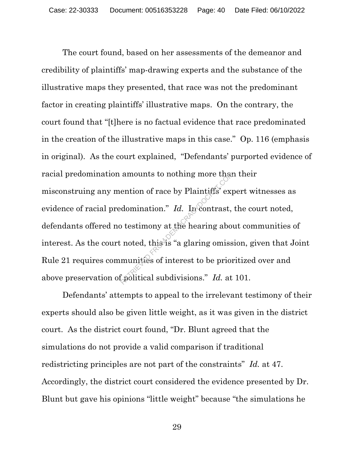The court found, based on her assessments of the demeanor and credibility of plaintiffs' map-drawing experts and the substance of the illustrative maps they presented, that race was not the predominant factor in creating plaintiffs' illustrative maps. On the contrary, the court found that "[t]here is no factual evidence that race predominated in the creation of the illustrative maps in this case." Op. 116 (emphasis in original). As the court explained, "Defendants' purported evidence of racial predomination amounts to nothing more than their misconstruing any mention of race by Plaintiffs' expert witnesses as evidence of racial predomination." *Id.* In contrast, the court noted, defendants offered no testimony at the hearing about communities of interest. As the court noted, this is "a glaring omission, given that Joint Rule 21 requires communities of interest to be prioritized over and above preservation of political subdivisions." *Id.* at 101. amounts to nothing more that<br>ention of race by Plaintiffs' exprediction." Id. In contrast,<br>b testimony at the hearing about interest to be prior<br>interest to be prior<br>folitical subdivisions." Id. at

Defendants' attempts to appeal to the irrelevant testimony of their experts should also be given little weight, as it was given in the district court. As the district court found, "Dr. Blunt agreed that the simulations do not provide a valid comparison if traditional redistricting principles are not part of the constraints" *Id.* at 47. Accordingly, the district court considered the evidence presented by Dr. Blunt but gave his opinions "little weight" because "the simulations he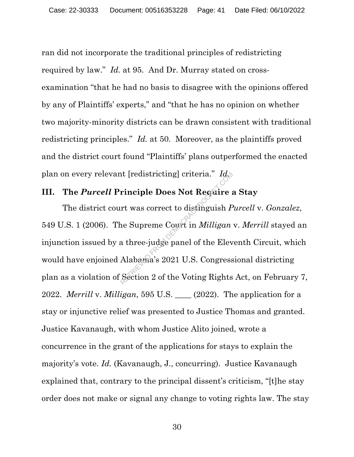ran did not incorporate the traditional principles of redistricting required by law." *Id.* at 95. And Dr. Murray stated on crossexamination "that he had no basis to disagree with the opinions offered by any of Plaintiffs' experts," and "that he has no opinion on whether two majority-minority districts can be drawn consistent with traditional redistricting principles." *Id.* at 50. Moreover, as the plaintiffs proved and the district court found "Plaintiffs' plans outperformed the enacted plan on every relevant [redistricting] criteria." *Id.* 

## **III. The** *Purcell* **Principle Does Not Require a Stay**

The district court was correct to distinguish *Purcell* v. *Gonzalez*, 549 U.S. 1 (2006). The Supreme Court in *Milligan* v. *Merrill* stayed an injunction issued by a three-judge panel of the Eleventh Circuit, which would have enjoined Alabama's 2021 U.S. Congressional districting plan as a violation of Section 2 of the Voting Rights Act, on February 7, 2022. *Merrill* v. *Milligan*, 595 U.S. \_\_\_\_ (2022). The application for a stay or injunctive relief was presented to Justice Thomas and granted. Justice Kavanaugh, with whom Justice Alito joined, wrote a concurrence in the grant of the applications for stays to explain the majority's vote. *Id.* (Kavanaugh, J., concurring). Justice Kavanaugh explained that, contrary to the principal dissent's criticism, "[t]he stay order does not make or signal any change to voting rights law. The stay Inciple Does Not Require<br>
rinciple Does Not Require<br>
rt was correct to distinguish P<br>
ne Supreme Court in *Milligan*<br>
a three-judge panel of the Elev<br>
Alabama's 2021 U.S. Congress<br>
Section 2 of the Voting Rights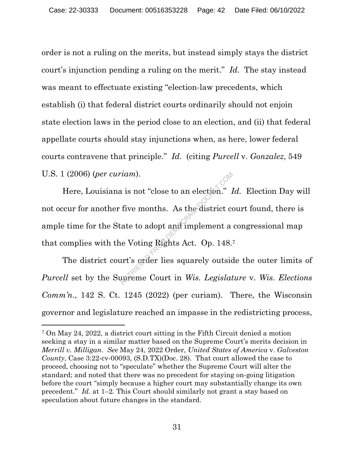order is not a ruling on the merits, but instead simply stays the district court's injunction pending a ruling on the merit." *Id.* The stay instead was meant to effectuate existing "election-law precedents, which establish (i) that federal district courts ordinarily should not enjoin state election laws in the period close to an election, and (ii) that federal appellate courts should stay injunctions when, as here, lower federal courts contravene that principle." *Id.* (citing *Purcell* v. *Gonzalez*, 549 U.S. 1 (2006) (*per curiam*).

Here, Louisiana is not "close to an election." *Id.* Election Day will not occur for another five months. As the district court found, there is ample time for the State to adopt and implement a congressional map that complies with the Voting Rights Act. Op. 148.7 From Details and implement and implement and implement and implement are Voting Rights Act. Op. 148.<br>The Voting Rights Act. Op. 148.<br>The Voting Rights Act. Op. 148.<br>The Section Details are squarely outside.

The district court's order lies squarely outside the outer limits of *Purcell* set by the Supreme Court in *Wis. Legislature* v. *Wis. Elections Comm'n.*, 142 S. Ct. 1245 (2022) (per curiam). There, the Wisconsin governor and legislature reached an impasse in the redistricting process,

<sup>7</sup> On May 24, 2022, a district court sitting in the Fifth Circuit denied a motion seeking a stay in a similar matter based on the Supreme Court's merits decision in *Merrill v. Milligan*. *See* May 24, 2022 Order, *United States of America* v. *Galveston County*, Case 3:22-cv-00093, (S.D.TX)(Doc. 28). That court allowed the case to proceed, choosing not to "speculate" whether the Supreme Court will alter the standard; and noted that there was no precedent for staying on-going litigation before the court "simply because a higher court may substantially change its own precedent." *Id.* at 1–2. This Court should similarly not grant a stay based on speculation about future changes in the standard.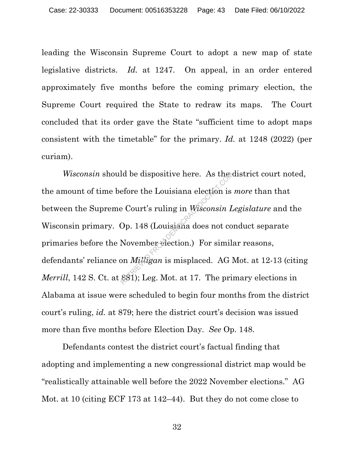leading the Wisconsin Supreme Court to adopt a new map of state legislative districts. *Id.* at 1247. On appeal, in an order entered approximately five months before the coming primary election, the Supreme Court required the State to redraw its maps. The Court concluded that its order gave the State "sufficient time to adopt maps consistent with the timetable" for the primary. *Id.* at 1248 (2022) (per curiam).

*Wisconsin* should be dispositive here. As the district court noted, the amount of time before the Louisiana election is *more* than that between the Supreme Court's ruling in *Wisconsin Legislature* and the Wisconsin primary. Op. 148 (Louisiana does not conduct separate primaries before the November election.) For similar reasons, defendants' reliance on *Milligan* is misplaced. AG Mot. at 12-13 (citing *Merrill*, 142 S. Ct. at 881); Leg. Mot. at 17. The primary elections in Alabama at issue were scheduled to begin four months from the district court's ruling, *id.* at 879; here the district court's decision was issued more than five months before Election Day. *See* Op. 148. Id be dispositive here. As they<br>efore the Louisiana election is<br>e Court's ruling in Wisconsin L<br>Op. 148 (Louisiana does not co<br>November election.) For simil<br>on *Milligan* is misplaced. AG l<br>881); Leg. Mot. at 17. The pri

Defendants contest the district court's factual finding that adopting and implementing a new congressional district map would be "realistically attainable well before the 2022 November elections." AG Mot. at 10 (citing ECF 173 at 142–44). But they do not come close to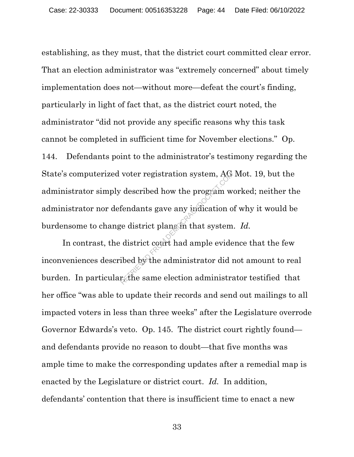establishing, as they must, that the district court committed clear error. That an election administrator was "extremely concerned" about timely implementation does not—without more—defeat the court's finding, particularly in light of fact that, as the district court noted, the administrator "did not provide any specific reasons why this task cannot be completed in sufficient time for November elections." Op. 144. Defendants point to the administrator's testimony regarding the State's computerized voter registration system, AG Mot. 19, but the administrator simply described how the program worked; neither the administrator nor defendants gave any indication of why it would be burdensome to change district plans in that system. *Id.* voter registration system, AG<br>
described how the program w<br>
fendants gave any indication of<br>
ge district plans on that system<br>
district court had ample evide<br>
ibed by the administrator did if<br>
rethe same election administr

In contrast, the district court had ample evidence that the few inconveniences described by the administrator did not amount to real burden. In particular, the same election administrator testified that her office "was able to update their records and send out mailings to all impacted voters in less than three weeks" after the Legislature overrode Governor Edwards's veto. Op. 145. The district court rightly found and defendants provide no reason to doubt—that five months was ample time to make the corresponding updates after a remedial map is enacted by the Legislature or district court. *Id.* In addition, defendants' contention that there is insufficient time to enact a new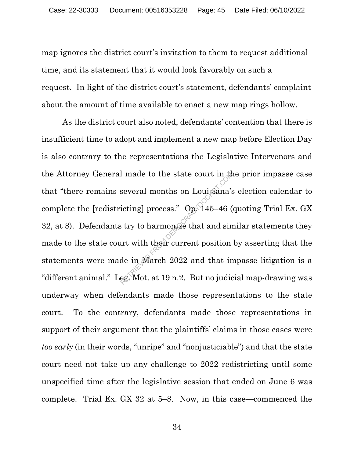map ignores the district court's invitation to them to request additional time, and its statement that it would look favorably on such a request. In light of the district court's statement, defendants' complaint about the amount of time available to enact a new map rings hollow.

As the district court also noted, defendants' contention that there is insufficient time to adopt and implement a new map before Election Day is also contrary to the representations the Legislative Intervenors and the Attorney General made to the state court in the prior impasse case that "there remains several months on Louisiana's election calendar to complete the [redistricting] process."  $O_{p}$  145–46 (quoting Trial Ex. GX 32, at 8). Defendants try to harmonize that and similar statements they made to the state court with their current position by asserting that the statements were made in March 2022 and that impasse litigation is a "different animal." Leg. Mot. at 19 n.2. But no judicial map-drawing was underway when defendants made those representations to the state court. To the contrary, defendants made those representations in support of their argument that the plaintiffs' claims in those cases were *too early* (in their words, "unripe" and "nonjusticiable") and that the state court need not take up any challenge to 2022 redistricting until some unspecified time after the legislative session that ended on June 6 was complete. Trial Ex. GX 32 at 5–8. Now, in this case—commenced the I made to the state court in the<br>several months on Louisiana's<br>icting] process." Op. 145–46 (<br>is try to harmonize that and sin<br>urt with their current position<br>de in March 2022 and that in<br>eg. Mot. at 19 n.2. But no judic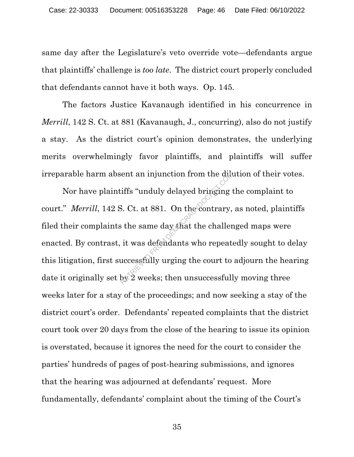same day after the Legislature's veto override vote—defendants argue that plaintiffs' challenge is *too late*. The district court properly concluded that defendants cannot have it both ways. Op. 145.

The factors Justice Kavanaugh identified in his concurrence in *Merrill*, 142 S. Ct. at 881 (Kavanaugh, J., concurring), also do not justify a stay. As the district court's opinion demonstrates, the underlying merits overwhelmingly favor plaintiffs, and plaintiffs will suffer irreparable harm absent an injunction from the dilution of their votes.

Nor have plaintiffs "unduly delayed bringing the complaint to court." *Merrill*, 142 S. Ct. at 881. On the contrary, as noted, plaintiffs filed their complaints the same day that the challenged maps were enacted. By contrast, it was defendants who repeatedly sought to delay this litigation, first successfully urging the court to adjourn the hearing date it originally set by 2 weeks; then unsuccessfully moving three weeks later for a stay of the proceedings; and now seeking a stay of the district court's order. Defendants' repeated complaints that the district court took over 20 days from the close of the hearing to issue its opinion is overstated, because it ignores the need for the court to consider the parties' hundreds of pages of post-hearing submissions, and ignores that the hearing was adjourned at defendants' request. More fundamentally, defendants' complaint about the timing of the Court's From the districts iffs "unduly delayed bringing<br>S. Ct. at 881. On the contrary,<br>is the same day that the challer<br>it was defendants who repeat<br>uccessfully urging the court to<br>by 2 weeks; then unsuccessfull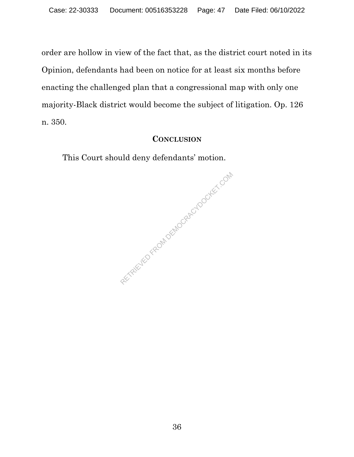order are hollow in view of the fact that, as the district court noted in its Opinion, defendants had been on notice for at least six months before enacting the challenged plan that a congressional map with only one majority-Black district would become the subject of litigation. Op. 126 n. 350.

### **CONCLUSION**

This Court should deny defendants' motion.

RETRIEVED FROM DEMOCRACYDOCKET.COM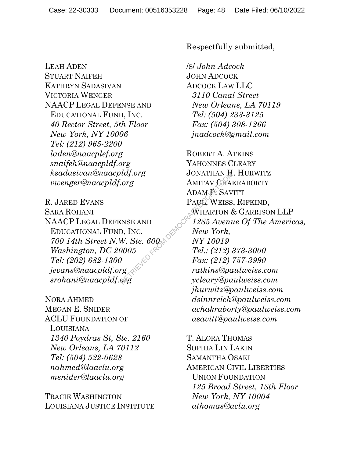LEAH ADEN STUART NAIFEH KATHRYN SADASIVAN VICTORIA WENGER NAACP LEGAL DEFENSE AND EDUCATIONAL FUND, INC. *40 Rector Street, 5th Floor New York, NY 10006 Tel: (212) 965-2200 laden@naacplef.org snaifeh@naacpldf.org ksadasivan@naacpldf.org vwenger@naacpldf.org* 

R. JARED EVANS SARA ROHANI NAACP LEGAL DEFENSE AND EDUCATIONAL FUND, INC. *700 14th Street N.W. Ste. 600 Washington, DC 20005 Tel: (202) 682-1300 jevans@naacpldf.org srohani@naacpldf.org* 

NORA AHMED MEGAN E. SNIDER ACLU FOUNDATION OF LOUISIANA *1340 Poydras St, Ste. 2160 New Orleans, LA 70112 Tel: (504) 522-0628 nahmed@laaclu.org msnider@laaclu.org* 

TRACIE WASHINGTON LOUISIANA JUSTICE INSTITUTE Respectfully submitted,

/S/ *John Adcock*

JOHN ADCOCK ADCOCK LAW LLC *3110 Canal Street New Orleans, LA 70119 Tel: (504) 233-3125 Fax: (504) 308-1266 jnadcock@gmail.com* 

ROBERT A. ATKINS YAHONNES CLEARY JONATHAN H. HURWITZ AMITAV CHAKRABORTY ADAM P. SAVITT PAUL, WEISS, RIFKIND, WHARTON & GARRISON LLP *1285 Avenue Of The Americas, New York, NY 10019 Tel.: (212) 373-3000 Fax: (212) 757-3990 ratkins@paulweiss.com ycleary@paulweiss.com jhurwitz@paulweiss.com dsinnreich@paulweiss.com achakraborty@paulweiss.com asavitt@paulweiss.com*   $\begin{array}{lll} \mathcal{R}^{[1]} \mathcal{R}^{[1]} \mathcal{R}^{[2]} & \mathcal{R}^{[1]} \mathcal{R}^{[1]} & \mathcal{R}^{[1]} \mathcal{R}^{[1]} & \mathcal{R}^{[1]} \mathcal{R}^{[1]} & \mathcal{R}^{[1]} \mathcal{R}^{[1]} & \mathcal{R}^{[1]} \mathcal{R}^{[1]} & \mathcal{R}^{[1]} \mathcal{R}^{[1]} & \mathcal{R}^{[1]} \mathcal{R}^{[1]} & \mathcal{R}^{[1]} \mathcal{R}^{[1]} & \mathcal{R}^{[1]} \mathcal$ 

> T. ALORA THOMAS SOPHIA LIN LAKIN SAMANTHA OSAKI AMERICAN CIVIL LIBERTIES UNION FOUNDATION *125 Broad Street, 18th Floor New York, NY 10004 athomas@aclu.org*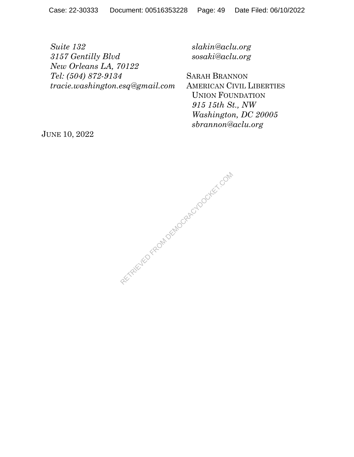*Suite 132 3157 Gentilly Blvd New Orleans LA, 70122 Tel: (504) 872-9134 tracie.washington.esq@gmail.com*  *slakin@aclu.org sosaki@aclu.org* 

SARAH BRANNON AMERICAN CIVIL LIBERTIES UNION FOUNDATION *915 15th St., NW Washington, DC 20005 sbrannon@aclu.org* 

JUNE 10, 2022

RECTAIRD FROM DEMOCRACYDOCKET.COM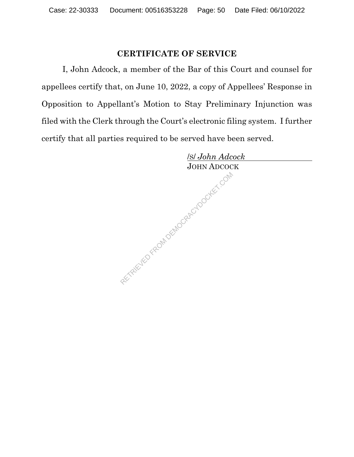## **CERTIFICATE OF SERVICE**

I, John Adcock, a member of the Bar of this Court and counsel for appellees certify that, on June 10, 2022, a copy of Appellees' Response in Opposition to Appellant's Motion to Stay Preliminary Injunction was filed with the Clerk through the Court's electronic filing system. I further certify that all parties required to be served have been served.

 /S/ *John Adcock* JOHN ADCOCK RETRIEVED FROM DEMOCRACYDOCKET.COM